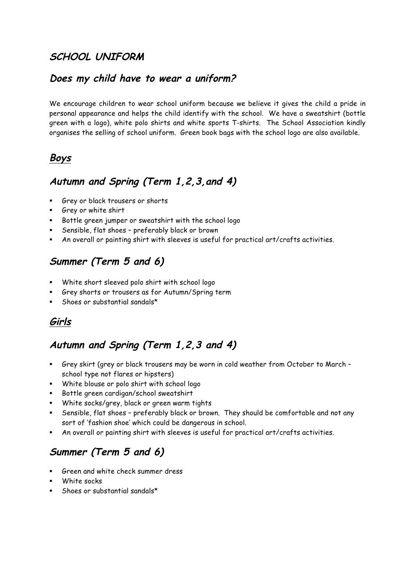### **SCHOOL UNIFORM**

#### **Does my child have to wear a uniform?**

We encourage children to wear school uniform because we believe it gives the child a pride in personal appearance and helps the child identify with the school. We have a sweatshirt (bottle green with a logo), white polo shirts and white sports T-shirts. The School Association kindly organises the selling of school uniform. Green book bags with the school logo are also available.

## **Boys**

#### **Autumn and Spring (Term 1,2,3,and 4)**

- § Grey or black trousers or shorts
- § Grey or white shirt
- § Bottle green jumper or sweatshirt with the school logo
- § Sensible, flat shoes preferably black or brown
- § An overall or painting shirt with sleeves is useful for practical art/crafts activities.

# **Summer (Term 5 and 6)**

- § White short sleeved polo shirt with school logo
- § Grey shorts or trousers as for Autumn/Spring term
- Shoes or substantial sandals\*

## **Girls**

## **Autumn and Spring (Term 1,2,3 and 4)**

- § Grey skirt (grey or black trousers may be worn in cold weather from October to March school type not flares or hipsters)
- § White blouse or polo shirt with school logo
- § Bottle green cardigan/school sweatshirt
- § White socks/grey, black or green warm tights
- § Sensible, flat shoes preferably black or brown. They should be comfortable and not any sort of 'fashion shoe' which could be dangerous in school.
- § An overall or painting shirt with sleeves is useful for practical art/crafts activities.

# **Summer (Term 5 and 6)**

- § Green and white check summer dress
- § White socks
- Shoes or substantial sandals\*